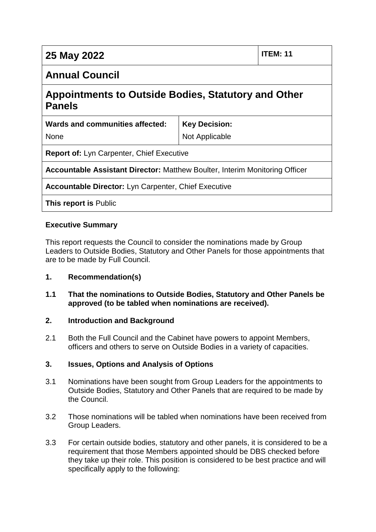| 25 May 2022 | $ $ ITEM: 11 |
|-------------|--------------|
|-------------|--------------|

None

# **Annual Council**

# **Appointments to Outside Bodies, Statutory and Other Panels**

| Wards and communities affected: |  |
|---------------------------------|--|
|---------------------------------|--|

**Key Decision:** Not Applicable

**Report of:** Lyn Carpenter, Chief Executive

**Accountable Assistant Director:** Matthew Boulter, Interim Monitoring Officer

**Accountable Director:** Lyn Carpenter, Chief Executive

**This report is** Public

#### **Executive Summary**

This report requests the Council to consider the nominations made by Group Leaders to Outside Bodies, Statutory and Other Panels for those appointments that are to be made by Full Council.

#### **1. Recommendation(s)**

#### **1.1 That the nominations to Outside Bodies, Statutory and Other Panels be approved (to be tabled when nominations are received).**

#### **2. Introduction and Background**

2.1 Both the Full Council and the Cabinet have powers to appoint Members, officers and others to serve on Outside Bodies in a variety of capacities.

#### **3. Issues, Options and Analysis of Options**

- 3.1 Nominations have been sought from Group Leaders for the appointments to Outside Bodies, Statutory and Other Panels that are required to be made by the Council.
- 3.2 Those nominations will be tabled when nominations have been received from Group Leaders.
- 3.3 For certain outside bodies, statutory and other panels, it is considered to be a requirement that those Members appointed should be DBS checked before they take up their role. This position is considered to be best practice and will specifically apply to the following: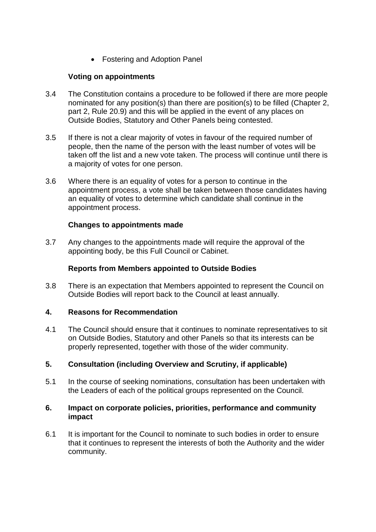Fostering and Adoption Panel

#### **Voting on appointments**

- 3.4 The Constitution contains a procedure to be followed if there are more people nominated for any position(s) than there are position(s) to be filled (Chapter 2, part 2, Rule 20.9) and this will be applied in the event of any places on Outside Bodies, Statutory and Other Panels being contested.
- 3.5 If there is not a clear majority of votes in favour of the required number of people, then the name of the person with the least number of votes will be taken off the list and a new vote taken. The process will continue until there is a majority of votes for one person.
- 3.6 Where there is an equality of votes for a person to continue in the appointment process, a vote shall be taken between those candidates having an equality of votes to determine which candidate shall continue in the appointment process.

#### **Changes to appointments made**

3.7 Any changes to the appointments made will require the approval of the appointing body, be this Full Council or Cabinet.

#### **Reports from Members appointed to Outside Bodies**

3.8 There is an expectation that Members appointed to represent the Council on Outside Bodies will report back to the Council at least annually.

#### **4. Reasons for Recommendation**

4.1 The Council should ensure that it continues to nominate representatives to sit on Outside Bodies, Statutory and other Panels so that its interests can be properly represented, together with those of the wider community.

#### **5. Consultation (including Overview and Scrutiny, if applicable)**

5.1 In the course of seeking nominations, consultation has been undertaken with the Leaders of each of the political groups represented on the Council.

#### **6. Impact on corporate policies, priorities, performance and community impact**

6.1 It is important for the Council to nominate to such bodies in order to ensure that it continues to represent the interests of both the Authority and the wider community.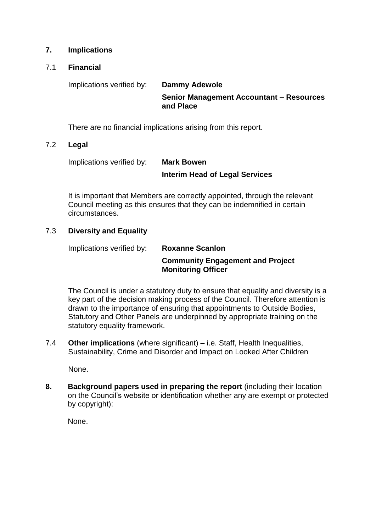#### **7. Implications**

#### 7.1 **Financial**

Implications verified by: **Dammy Adewole** 

**Senior Management Accountant – Resources and Place**

There are no financial implications arising from this report.

#### 7.2 **Legal**

Implications verified by: **Mark Bowen** 

# **Interim Head of Legal Services**

It is important that Members are correctly appointed, through the relevant Council meeting as this ensures that they can be indemnified in certain circumstances.

#### 7.3 **Diversity and Equality**

Implications verified by: **Roxanne Scanlon Community Engagement and Project Monitoring Officer**

The Council is under a statutory duty to ensure that equality and diversity is a key part of the decision making process of the Council. Therefore attention is drawn to the importance of ensuring that appointments to Outside Bodies, Statutory and Other Panels are underpinned by appropriate training on the statutory equality framework.

7.4 **Other implications** (where significant) – i.e. Staff, Health Inequalities, Sustainability, Crime and Disorder and Impact on Looked After Children

None.

**8. Background papers used in preparing the report** (including their location on the Council's website or identification whether any are exempt or protected by copyright):

None.